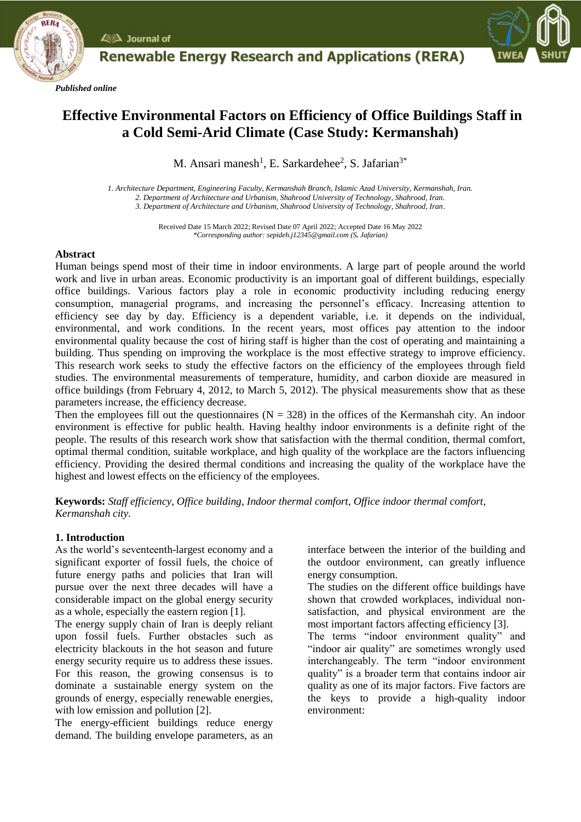

*Published online*



# **Effective Environmental Factors on Efficiency of Office Buildings Staff in a Cold Semi-Arid Climate (Case Study: Kermanshah)**

**Renewable Energy Research and Applications (RERA)** 

M. Ansari manesh<sup>1</sup>, E. Sarkardehee<sup>2</sup>, S. Jafarian<sup>3\*</sup>

*1. Architecture Department, Engineering Faculty, Kermanshah Branch, Islamic Azad University, Kermanshah, Iran. 2. Department of Architecture and Urbanism, Shahrood University of Technology, Shahrood, Iran. 3. Department of Architecture and Urbanism, Shahrood University of Technology, Shahrood, Iran*.

> Received Date 15 March 2022; Revised Date 07 April 2022; Accepted Date 16 May 2022 *\*Corresponding author: sepideh.j12345@gmail.com (S. Jafarian)*

#### **Abstract**

Human beings spend most of their time in indoor environments. A large part of people around the world work and live in urban areas. Economic productivity is an important goal of different buildings, especially office buildings. Various factors play a role in economic productivity including reducing energy consumption, managerial programs, and increasing the personnel's efficacy. Increasing attention to efficiency see day by day. Efficiency is a dependent variable, i.e. it depends on the individual, environmental, and work conditions. In the recent years, most offices pay attention to the indoor environmental quality because the cost of hiring staff is higher than the cost of operating and maintaining a building. Thus spending on improving the workplace is the most effective strategy to improve efficiency. This research work seeks to study the effective factors on the efficiency of the employees through field studies. The environmental measurements of temperature, humidity, and carbon dioxide are measured in office buildings (from February 4, 2012, to March 5, 2012). The physical measurements show that as these parameters increase, the efficiency decrease.

Then the employees fill out the questionnaires ( $N = 328$ ) in the offices of the Kermanshah city. An indoor environment is effective for public health. Having healthy indoor environments is a definite right of the people. The results of this research work show that satisfaction with the thermal condition, thermal comfort, optimal thermal condition, suitable workplace, and high quality of the workplace are the factors influencing efficiency. Providing the desired thermal conditions and increasing the quality of the workplace have the highest and lowest effects on the efficiency of the employees.

**Keywords:** *Staff efficiency, Office building, Indoor thermal comfort, Office indoor thermal comfort, Kermanshah city.*

#### **1. Introduction**

As the world's seventeenth-largest economy and a significant exporter of fossil fuels, the choice of future energy paths and policies that Iran will pursue over the next three decades will have a considerable impact on the global energy security as a whole, especially the eastern region [1].

The energy supply chain of Iran is deeply reliant upon fossil fuels. Further obstacles such as electricity blackouts in the hot season and future energy security require us to address these issues. For this reason, the growing consensus is to dominate a sustainable energy system on the grounds of energy, especially renewable energies, with low emission and pollution [2].

The energy-efficient buildings reduce energy demand. The building envelope parameters, as an interface between the interior of the building and the outdoor environment, can greatly influence energy consumption.

The studies on the different office buildings have shown that crowded workplaces, individual nonsatisfaction, and physical environment are the most important factors affecting efficiency [3].

The terms "indoor environment quality" and "indoor air quality" are sometimes wrongly used interchangeably. The term "indoor environment quality" is a broader term that contains indoor air quality as one of its major factors. Five factors are the keys to provide a high-quality indoor environment: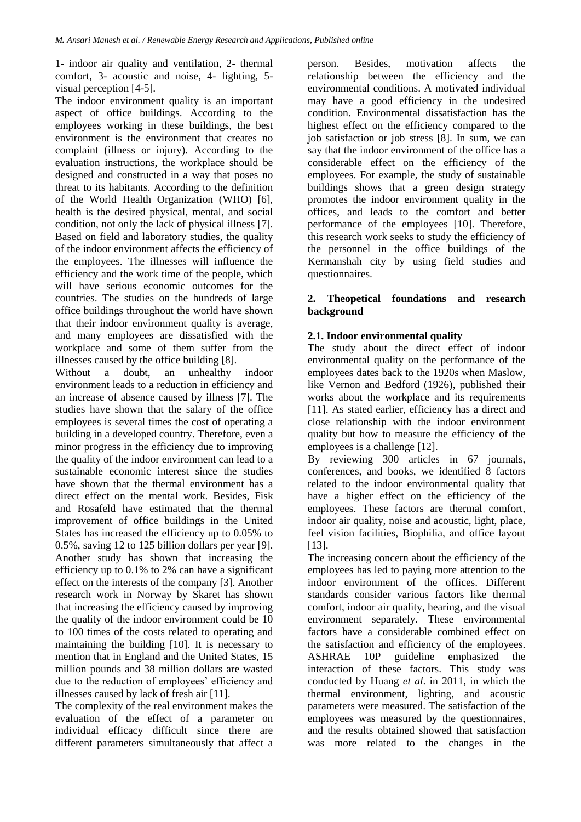1- indoor air quality and ventilation, 2- thermal comfort, 3- acoustic and noise, 4- lighting, 5 visual perception [4-5].

The indoor environment quality is an important aspect of office buildings. According to the employees working in these buildings, the best environment is the environment that creates no complaint (illness or injury). According to the evaluation instructions, the workplace should be designed and constructed in a way that poses no threat to its habitants. According to the definition of the World Health Organization (WHO) [6], health is the desired physical, mental, and social condition, not only the lack of physical illness [7]. Based on field and laboratory studies, the quality of the indoor environment affects the efficiency of the employees. The illnesses will influence the efficiency and the work time of the people, which will have serious economic outcomes for the countries. The studies on the hundreds of large office buildings throughout the world have shown that their indoor environment quality is average, and many employees are dissatisfied with the workplace and some of them suffer from the illnesses caused by the office building [8].

Without a doubt, an unhealthy indoor environment leads to a reduction in efficiency and an increase of absence caused by illness [7]. The studies have shown that the salary of the office employees is several times the cost of operating a building in a developed country. Therefore, even a minor progress in the efficiency due to improving the quality of the indoor environment can lead to a sustainable economic interest since the studies have shown that the thermal environment has a direct effect on the mental work. Besides, Fisk and Rosafeld have estimated that the thermal improvement of office buildings in the United States has increased the efficiency up to 0.05% to 0.5%, saving 12 to 125 billion dollars per year [9]. Another study has shown that increasing the efficiency up to 0.1% to 2% can have a significant effect on the interests of the company [3]. Another research work in Norway by Skaret has shown that increasing the efficiency caused by improving the quality of the indoor environment could be 10 to 100 times of the costs related to operating and maintaining the building [10]. It is necessary to mention that in England and the United States, 15 million pounds and 38 million dollars are wasted due to the reduction of employees' efficiency and illnesses caused by lack of fresh air [11].

The complexity of the real environment makes the evaluation of the effect of a parameter on individual efficacy difficult since there are different parameters simultaneously that affect a

person. Besides, motivation affects the relationship between the efficiency and the environmental conditions. A motivated individual may have a good efficiency in the undesired condition. Environmental dissatisfaction has the highest effect on the efficiency compared to the job satisfaction or job stress [8]. In sum, we can say that the indoor environment of the office has a considerable effect on the efficiency of the employees. For example, the study of sustainable buildings shows that a green design strategy promotes the indoor environment quality in the offices, and leads to the comfort and better performance of the employees [10]. Therefore, this research work seeks to study the efficiency of the personnel in the office buildings of the Kermanshah city by using field studies and questionnaires.

## **2. Theopetical foundations and research background**

## **2.1. Indoor environmental quality**

The study about the direct effect of indoor environmental quality on the performance of the employees dates back to the 1920s when Maslow, like Vernon and Bedford (1926), published their works about the workplace and its requirements [11]. As stated earlier, efficiency has a direct and close relationship with the indoor environment quality but how to measure the efficiency of the employees is a challenge [12].

By reviewing 300 articles in 67 journals, conferences, and books, we identified 8 factors related to the indoor environmental quality that have a higher effect on the efficiency of the employees. These factors are thermal comfort, indoor air quality, noise and acoustic, light, place, feel vision facilities, Biophilia, and office layout [13].

The increasing concern about the efficiency of the employees has led to paying more attention to the indoor environment of the offices. Different standards consider various factors like thermal comfort, indoor air quality, hearing, and the visual environment separately. These environmental factors have a considerable combined effect on the satisfaction and efficiency of the employees. ASHRAE 10P guideline emphasized the interaction of these factors. This study was conducted by Huang *et al*. in 2011, in which the thermal environment, lighting, and acoustic parameters were measured. The satisfaction of the employees was measured by the questionnaires, and the results obtained showed that satisfaction was more related to the changes in the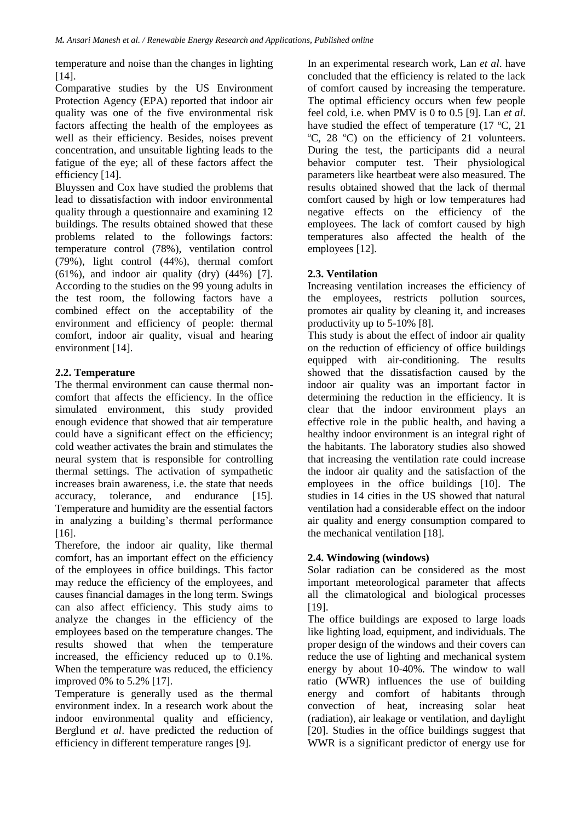temperature and noise than the changes in lighting [14].

Comparative studies by the US Environment Protection Agency (EPA) reported that indoor air quality was one of the five environmental risk factors affecting the health of the employees as well as their efficiency. Besides, noises prevent concentration, and unsuitable lighting leads to the fatigue of the eye; all of these factors affect the efficiency [14].

Bluyssen and Cox have studied the problems that lead to dissatisfaction with indoor environmental quality through a questionnaire and examining 12 buildings. The results obtained showed that these problems related to the followings factors: temperature control (78%), ventilation control (79%), light control (44%), thermal comfort  $(61\%)$ , and indoor air quality  $(dry)$   $(44\%)$  [7]. According to the studies on the 99 young adults in the test room, the following factors have a combined effect on the acceptability of the environment and efficiency of people: thermal comfort, indoor air quality, visual and hearing environment [14].

## **2.2. Temperature**

The thermal environment can cause thermal noncomfort that affects the efficiency. In the office simulated environment, this study provided enough evidence that showed that air temperature could have a significant effect on the efficiency; cold weather activates the brain and stimulates the neural system that is responsible for controlling thermal settings. The activation of sympathetic increases brain awareness, i.e. the state that needs accuracy, tolerance, and endurance [15]. Temperature and humidity are the essential factors in analyzing a building's thermal performance [16].

Therefore, the indoor air quality, like thermal comfort, has an important effect on the efficiency of the employees in office buildings. This factor may reduce the efficiency of the employees, and causes financial damages in the long term. Swings can also affect efficiency. This study aims to analyze the changes in the efficiency of the employees based on the temperature changes. The results showed that when the temperature increased, the efficiency reduced up to 0.1%. When the temperature was reduced, the efficiency improved 0% to 5.2% [17].

Temperature is generally used as the thermal environment index. In a research work about the indoor environmental quality and efficiency, Berglund *et al*. have predicted the reduction of efficiency in different temperature ranges [9].

In an experimental research work, Lan *et al*. have concluded that the efficiency is related to the lack of comfort caused by increasing the temperature. The optimal efficiency occurs when few people feel cold, i.e. when PMV is 0 to 0.5 [9]. Lan *et al*. have studied the effect of temperature (17  $^{\circ}$ C, 21  $\rm{^{\circ}C}$ , 28  $\rm{^{\circ}C}$  on the efficiency of 21 volunteers. During the test, the participants did a neural behavior computer test. Their physiological parameters like heartbeat were also measured. The results obtained showed that the lack of thermal comfort caused by high or low temperatures had negative effects on the efficiency of the employees. The lack of comfort caused by high temperatures also affected the health of the employees [12].

# **2.3. Ventilation**

Increasing ventilation increases the efficiency of the employees, restricts pollution sources, promotes air quality by cleaning it, and increases productivity up to 5-10% [8].

This study is about the effect of indoor air quality on the reduction of efficiency of office buildings equipped with air-conditioning. The results showed that the dissatisfaction caused by the indoor air quality was an important factor in determining the reduction in the efficiency. It is clear that the indoor environment plays an effective role in the public health, and having a healthy indoor environment is an integral right of the habitants. The laboratory studies also showed that increasing the ventilation rate could increase the indoor air quality and the satisfaction of the employees in the office buildings [10]. The studies in 14 cities in the US showed that natural ventilation had a considerable effect on the indoor air quality and energy consumption compared to the mechanical ventilation [18].

## **2.4. Windowing (windows)**

Solar radiation can be considered as the most important meteorological parameter that affects all the climatological and biological processes [19].

The office buildings are exposed to large loads like lighting load, equipment, and individuals. The proper design of the windows and their covers can reduce the use of lighting and mechanical system energy by about 10-40%. The window to wall ratio (WWR) influences the use of building energy and comfort of habitants through convection of heat, increasing solar heat (radiation), air leakage or ventilation, and daylight [20]. Studies in the office buildings suggest that WWR is a significant predictor of energy use for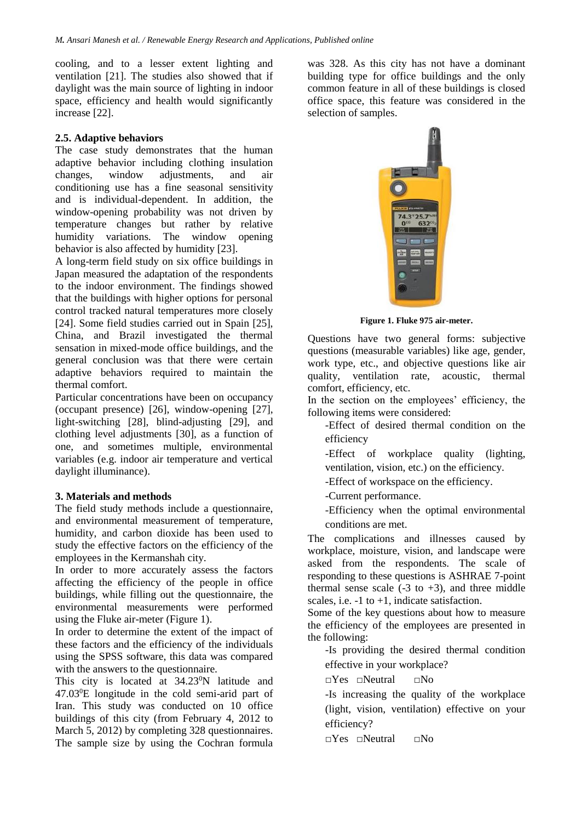cooling, and to a lesser extent lighting and ventilation [21]. The studies also showed that if daylight was the main source of lighting in indoor space, efficiency and health would significantly increase [22].

#### **2.5. Adaptive behaviors**

The case study demonstrates that the human adaptive behavior including clothing insulation changes, window adjustments, and air conditioning use has a fine seasonal sensitivity and is individual-dependent. In addition, the window-opening probability was not driven by temperature changes but rather by relative humidity variations. The window opening behavior is also affected by humidity [23].

A long-term field study on six office buildings in Japan measured the adaptation of the respondents to the indoor environment. The findings showed that the buildings with higher options for personal control tracked natural temperatures more closely [24]. Some field studies carried out in Spain [25], China, and Brazil investigated the thermal sensation in mixed-mode office buildings, and the general conclusion was that there were certain adaptive behaviors required to maintain the thermal comfort.

Particular concentrations have been on occupancy (occupant presence) [26], window-opening [27], light-switching [28], blind-adjusting [29], and clothing level adjustments [30], as a function of one, and sometimes multiple, environmental variables (e.g. indoor air temperature and vertical daylight illuminance).

#### **3. Materials and methods**

The field study methods include a questionnaire, and environmental measurement of temperature, humidity, and carbon dioxide has been used to study the effective factors on the efficiency of the employees in the Kermanshah city.

In order to more accurately assess the factors affecting the efficiency of the people in office buildings, while filling out the questionnaire, the environmental measurements were performed using the Fluke air-meter (Figure 1).

In order to determine the extent of the impact of these factors and the efficiency of the individuals using the SPSS software, this data was compared with the answers to the questionnaire.

This city is located at 34.23<sup>0</sup>N latitude and 47.03<sup>0</sup>E longitude in the cold semi-arid part of Iran. This study was conducted on 10 office buildings of this city (from February 4, 2012 to March 5, 2012) by completing 328 questionnaires. The sample size by using the Cochran formula was 328. As this city has not have a dominant building type for office buildings and the only common feature in all of these buildings is closed office space, this feature was considered in the selection of samples.



**Figure 1. Fluke 975 air-meter.**

Questions have two general forms: subjective questions (measurable variables) like age, gender, work type, etc., and objective questions like air quality, ventilation rate, acoustic, thermal comfort, efficiency, etc.

In the section on the employees' efficiency, the following items were considered:

-Effect of desired thermal condition on the efficiency

-Effect of workplace quality (lighting, ventilation, vision, etc.) on the efficiency.

-Effect of workspace on the efficiency.

-Current performance.

-Efficiency when the optimal environmental conditions are met.

The complications and illnesses caused by workplace, moisture, vision, and landscape were asked from the respondents. The scale of responding to these questions is ASHRAE 7-point thermal sense scale  $(-3 \text{ to } +3)$ , and three middle scales, i.e.  $-1$  to  $+1$ , indicate satisfaction.

Some of the key questions about how to measure the efficiency of the employees are presented in the following:

-Is providing the desired thermal condition effective in your workplace?

□Yes □Neutral □No

-Is increasing the quality of the workplace (light, vision, ventilation) effective on your efficiency?

□Yes □Neutral □No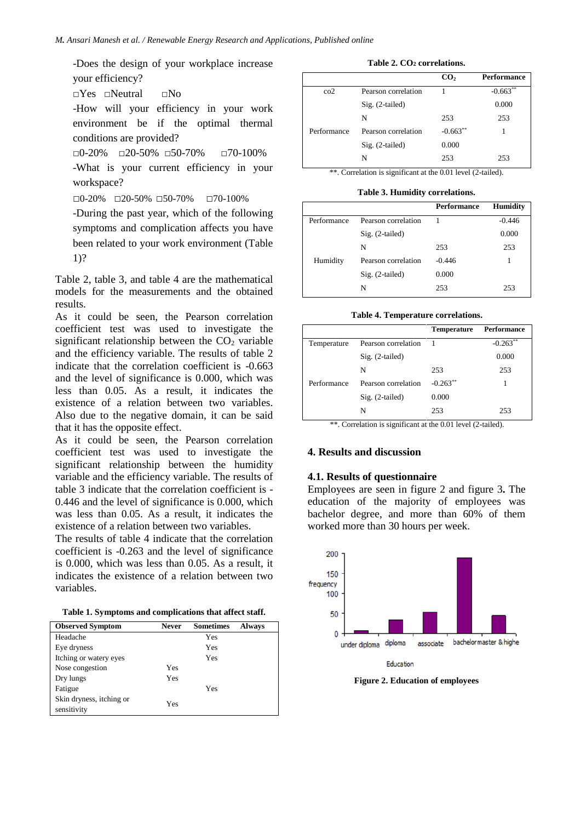-Does the design of your workplace increase your efficiency?

□Yes □Neutral □No

-How will your efficiency in your work environment be if the optimal thermal conditions are provided?

□0-20% □20-50% □50-70% □70-100% -What is your current efficiency in your workspace?

□0-20% □20-50% □50-70% □70-100%

-During the past year, which of the following symptoms and complication affects you have been related to your work environment (Table 1)?

Table 2, table 3, and table 4 are the mathematical models for the measurements and the obtained results.

As it could be seen, the Pearson correlation coefficient test was used to investigate the significant relationship between the  $CO<sub>2</sub>$  variable and the efficiency variable. The results of table 2 indicate that the correlation coefficient is -0.663 and the level of significance is 0.000, which was less than 0.05. As a result, it indicates the existence of a relation between two variables. Also due to the negative domain, it can be said that it has the opposite effect.

As it could be seen, the Pearson correlation coefficient test was used to investigate the significant relationship between the humidity variable and the efficiency variable. The results of table 3 indicate that the correlation coefficient is - 0.446 and the level of significance is 0.000, which was less than 0.05. As a result, it indicates the existence of a relation between two variables.

The results of table 4 indicate that the correlation coefficient is -0.263 and the level of significance is 0.000, which was less than 0.05. As a result, it indicates the existence of a relation between two variables.

| <b>Observed Symptom</b>                 | <b>Never</b> | <b>Sometimes</b> | <b>Always</b> |
|-----------------------------------------|--------------|------------------|---------------|
| Headache                                |              | Yes              |               |
| Eye dryness                             |              | Yes              |               |
| Itching or watery eyes                  |              | Yes              |               |
| Nose congestion                         | Yes          |                  |               |
| Dry lungs                               | Yes          |                  |               |
| Fatigue                                 |              | Yes              |               |
| Skin dryness, itching or<br>sensitivity | Yes          |                  |               |

#### **Table 2. CO<sup>2</sup> correlations.**

|             |                     | CO <sub>2</sub> | <b>Performance</b> |
|-------------|---------------------|-----------------|--------------------|
| $\rm{co2}$  | Pearson correlation |                 | $-0.663**$         |
|             | $Sig. (2-tailed)$   |                 | 0.000              |
|             | N                   | 253             | 253                |
| Performance | Pearson correlation | $-0.663**$      |                    |
|             | $Sig. (2-tailed)$   | 0.000           |                    |
|             | N                   | 253             | 253                |

\*\*. Correlation is significant at the 0.01 level (2-tailed).

**Table 3. Humidity correlations.**

|             |                     | <b>Performance</b> | <b>Humidity</b> |
|-------------|---------------------|--------------------|-----------------|
| Performance | Pearson correlation |                    | $-0.446$        |
|             | $Sig. (2-tailed)$   |                    | 0.000           |
|             | N                   | 253                | 253             |
| Humidity    | Pearson correlation | $-0.446$           |                 |
|             | $Sig. (2-tailed)$   | 0.000              |                 |
|             | N                   | 253                | 253             |

**Table 4. Temperature correlations.**

|             |                     | <b>Temperature</b> | <b>Performance</b> |
|-------------|---------------------|--------------------|--------------------|
| Temperature | Pearson correlation |                    | $-0.263**$         |
|             | $Sig. (2-tailed)$   |                    | 0.000              |
|             | N                   | 253                | 253                |
| Performance | Pearson correlation | $-0.263**$         | 1                  |
|             | $Sig. (2-tailed)$   | 0.000              |                    |
|             | N                   | 253                | 253                |

\*\*. Correlation is significant at the 0.01 level (2-tailed).

#### **4. Results and discussion**

#### **4.1. Results of questionnaire**

Employees are seen in figure 2 and figure 3**.** The education of the majority of employees was bachelor degree, and more than 60% of them worked more than 30 hours per week.



**Figure 2. Education of employees**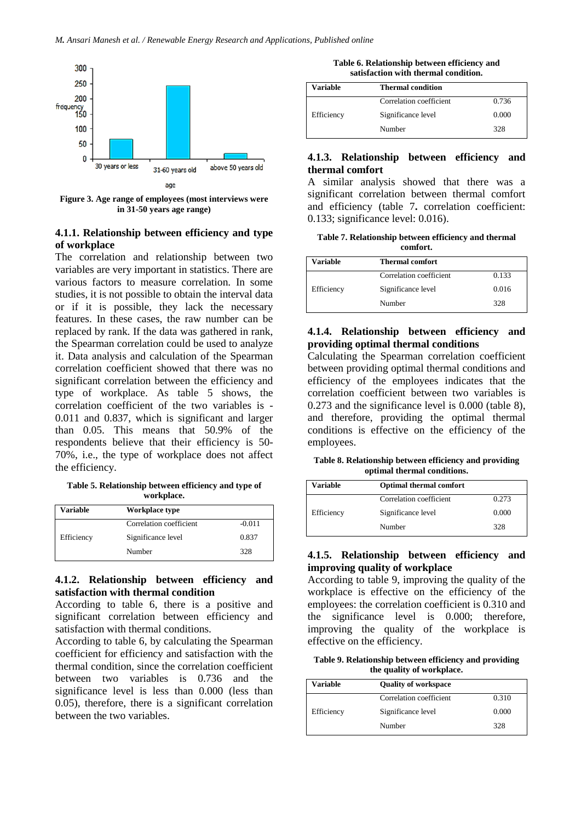

**Figure 3. Age range of employees (most interviews were in 31-50 years age range)**

## **4.1.1. Relationship between efficiency and type of workplace**

The correlation and relationship between two variables are very important in statistics. There are various factors to measure correlation. In some studies, it is not possible to obtain the interval data or if it is possible, they lack the necessary features. In these cases, the raw number can be replaced by rank. If the data was gathered in rank, the Spearman correlation could be used to analyze it. Data analysis and calculation of the Spearman correlation coefficient showed that there was no significant correlation between the efficiency and type of workplace. As table 5 shows, the correlation coefficient of the two variables is - 0.011 and 0.837, which is significant and larger than 0.05. This means that 50.9% of the respondents believe that their efficiency is 50- 70%, i.e., the type of workplace does not affect the efficiency.

**Table 5. Relationship between efficiency and type of workplace.**

| Variable   | Workplace type          |          |
|------------|-------------------------|----------|
|            | Correlation coefficient | $-0.011$ |
| Efficiency | Significance level      | 0.837    |
|            | Number                  | 328      |

## **4.1.2. Relationship between efficiency and satisfaction with thermal condition**

According to table 6, there is a positive and significant correlation between efficiency and satisfaction with thermal conditions.

According to table 6, by calculating the Spearman coefficient for efficiency and satisfaction with the thermal condition, since the correlation coefficient between two variables is 0.736 and the significance level is less than 0.000 (less than 0.05), therefore, there is a significant correlation between the two variables.

**Table 6. Relationship between efficiency and satisfaction with thermal condition.**

| Variable   | <b>Thermal condition</b> |       |
|------------|--------------------------|-------|
|            | Correlation coefficient  | 0.736 |
| Efficiency | Significance level       | 0.000 |
|            | Number                   | 328   |

## **4.1.3. Relationship between efficiency and thermal comfort**

A similar analysis showed that there was a significant correlation between thermal comfort and efficiency (table 7**.** correlation coefficient: 0.133; significance level: 0.016).

**Table 7. Relationship between efficiency and thermal comfort.**

| Variable   | <b>Thermal comfort</b>  |       |
|------------|-------------------------|-------|
|            | Correlation coefficient | 0.133 |
| Efficiency | Significance level      | 0.016 |
|            | Number                  | 328   |

## **4.1.4. Relationship between efficiency and providing optimal thermal conditions**

Calculating the Spearman correlation coefficient between providing optimal thermal conditions and efficiency of the employees indicates that the correlation coefficient between two variables is 0.273 and the significance level is 0.000 (table 8), and therefore, providing the optimal thermal conditions is effective on the efficiency of the employees.

**Table 8. Relationship between efficiency and providing optimal thermal conditions.**

| Variable   | <b>Optimal thermal comfort</b> |       |
|------------|--------------------------------|-------|
|            | Correlation coefficient        | 0.273 |
| Efficiency | Significance level             | 0.000 |
|            | Number                         | 328   |

## **4.1.5. Relationship between efficiency and improving quality of workplace**

According to table 9, improving the quality of the workplace is effective on the efficiency of the employees: the correlation coefficient is 0.310 and the significance level is 0.000; therefore, improving the quality of the workplace is effective on the efficiency.

**Table 9. Relationship between efficiency and providing the quality of workplace.**

| Variable   | <b>Ouality of workspace</b> |       |
|------------|-----------------------------|-------|
|            | Correlation coefficient     | 0.310 |
| Efficiency | Significance level          | 0.000 |
|            | Number                      | 328   |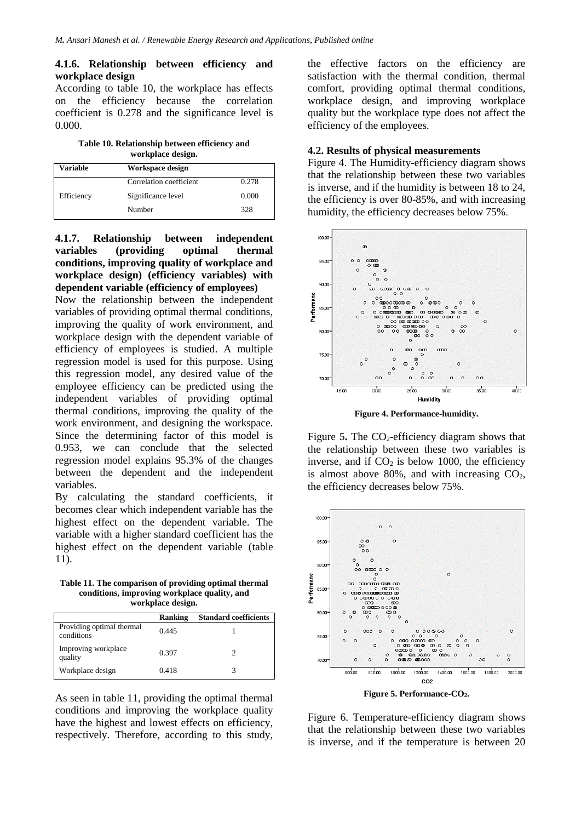#### **4.1.6. Relationship between efficiency and workplace design**

According to table 10, the workplace has effects on the efficiency because the correlation coefficient is 0.278 and the significance level is 0.000.

**Table 10. Relationship between efficiency and workplace design.**

| Variable   | Workspace design        |       |
|------------|-------------------------|-------|
|            | Correlation coefficient | 0.278 |
| Efficiency | Significance level      | 0.000 |
|            | Number                  | 328   |

**4.1.7. Relationship between independent variables (providing optimal thermal conditions, improving quality of workplace and workplace design) (efficiency variables) with dependent variable (efficiency of employees)**

Now the relationship between the independent variables of providing optimal thermal conditions, improving the quality of work environment, and workplace design with the dependent variable of efficiency of employees is studied. A multiple regression model is used for this purpose. Using this regression model, any desired value of the employee efficiency can be predicted using the independent variables of providing optimal thermal conditions, improving the quality of the work environment, and designing the workspace. Since the determining factor of this model is 0.953, we can conclude that the selected regression model explains 95.3% of the changes between the dependent and the independent variables.

By calculating the standard coefficients, it becomes clear which independent variable has the highest effect on the dependent variable. The variable with a higher standard coefficient has the highest effect on the dependent variable (table 11).

**Table 11. The comparison of providing optimal thermal conditions, improving workplace quality, and workplace design.**

|                                         | <b>Ranking</b> | <b>Standard coefficients</b> |
|-----------------------------------------|----------------|------------------------------|
| Providing optimal thermal<br>conditions | 0.445          |                              |
| Improving workplace<br>quality          | 0.397          |                              |
| Workplace design                        | 0.418          |                              |

As seen in table 11, providing the optimal thermal conditions and improving the workplace quality have the highest and lowest effects on efficiency, respectively. Therefore, according to this study, the effective factors on the efficiency are satisfaction with the thermal condition, thermal comfort, providing optimal thermal conditions, workplace design, and improving workplace quality but the workplace type does not affect the efficiency of the employees.

#### **4.2. Results of physical measurements**

Figure 4. The Humidity-efficiency diagram shows that the relationship between these two variables is inverse, and if the humidity is between 18 to 24, the efficiency is over 80-85%, and with increasing humidity, the efficiency decreases below 75%.



**Figure 4. Performance-humidity.**

Figure 5. The CO<sub>2</sub>-efficiency diagram shows that the relationship between these two variables is inverse, and if  $CO<sub>2</sub>$  is below 1000, the efficiency is almost above 80%, and with increasing  $CO<sub>2</sub>$ , the efficiency decreases below 75%.



Figure 6. Temperature-efficiency diagram shows that the relationship between these two variables is inverse, and if the temperature is between 20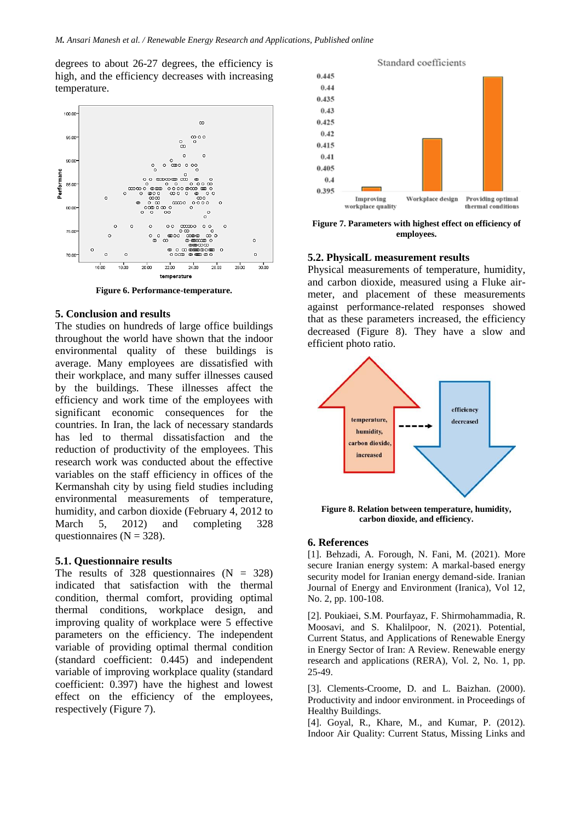degrees to about 26-27 degrees, the efficiency is high, and the efficiency decreases with increasing temperature.



**Figure 6. Performance-temperature.**

#### **5. Conclusion and results**

The studies on hundreds of large office buildings throughout the world have shown that the indoor environmental quality of these buildings is average. Many employees are dissatisfied with their workplace, and many suffer illnesses caused by the buildings. These illnesses affect the efficiency and work time of the employees with significant economic consequences for the countries. In Iran, the lack of necessary standards has led to thermal dissatisfaction and the reduction of productivity of the employees. This research work was conducted about the effective variables on the staff efficiency in offices of the Kermanshah city by using field studies including environmental measurements of temperature, humidity, and carbon dioxide (February 4, 2012 to March 5, 2012) and completing 328 questionnaires ( $N = 328$ ).

#### **5.1. Questionnaire results**

The results of 328 questionnaires  $(N = 328)$ indicated that satisfaction with the thermal condition, thermal comfort, providing optimal thermal conditions, workplace design, and improving quality of workplace were 5 effective parameters on the efficiency. The independent variable of providing optimal thermal condition (standard coefficient: 0.445) and independent variable of improving workplace quality (standard coefficient: 0.397) have the highest and lowest effect on the efficiency of the employees, respectively (Figure 7).



**Figure 7. Parameters with highest effect on efficiency of employees.**

#### **5.2. PhysicalL measurement results**

Physical measurements of temperature, humidity, and carbon dioxide, measured using a Fluke airmeter, and placement of these measurements against performance-related responses showed that as these parameters increased, the efficiency decreased (Figure 8). They have a slow and efficient photo ratio.



**Figure 8. Relation between temperature, humidity, carbon dioxide, and efficiency.**

#### **6. References**

[1]. Behzadi, A. Forough, N. Fani, M. (2021). More secure Iranian energy system: A markal-based energy security model for Iranian energy demand-side. Iranian Journal of Energy and Environment (Iranica), Vol 12, No. 2, pp. 100-108.

[2]. Poukiaei, S.M. Pourfayaz, F. Shirmohammadia, R. Moosavi, and S. Khalilpoor, N. (2021). Potential, Current Status, and Applications of Renewable Energy in Energy Sector of Iran: A Review. Renewable energy research and applications (RERA), Vol. 2, No. 1, pp. 25-49.

[3]. Clements-Croome, D. and L. Baizhan. (2000). Productivity and indoor environment. in Proceedings of Healthy Buildings.

[4]. Goyal, R., Khare, M., and Kumar, P. (2012). Indoor Air Quality: Current Status, Missing Links and